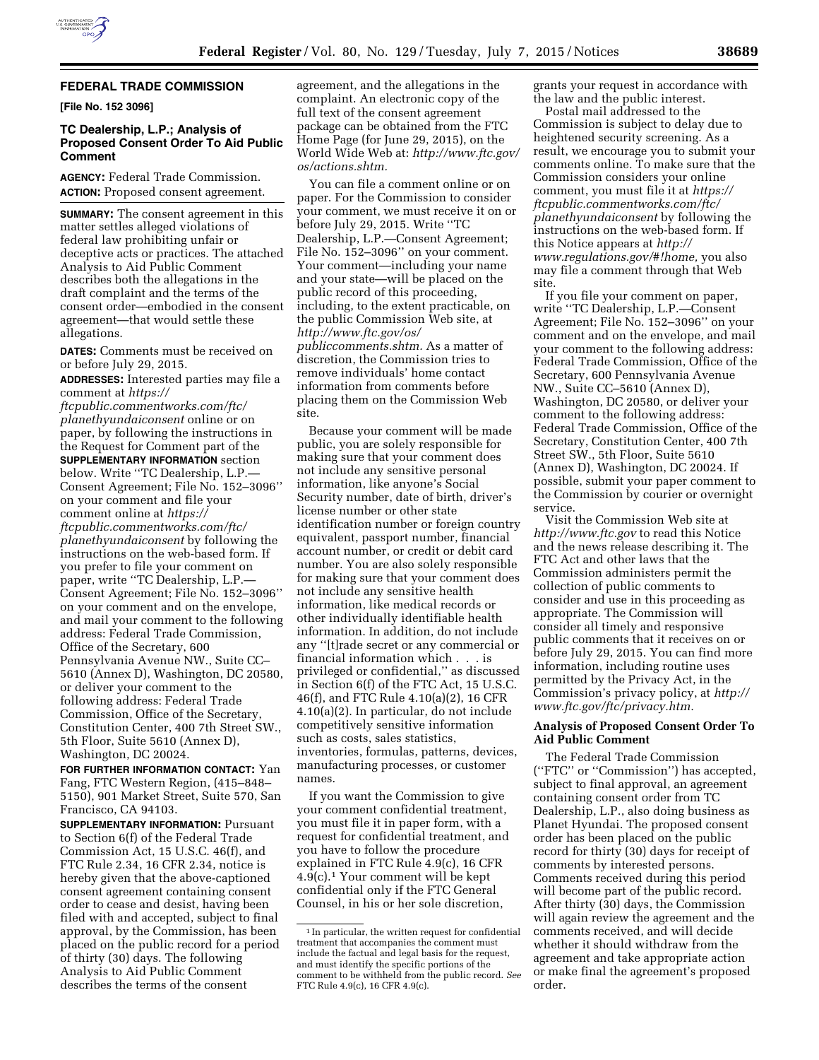

## **FEDERAL TRADE COMMISSION**

**[File No. 152 3096]** 

# **TC Dealership, L.P.; Analysis of Proposed Consent Order To Aid Public Comment**

**AGENCY:** Federal Trade Commission. **ACTION:** Proposed consent agreement.

**SUMMARY:** The consent agreement in this matter settles alleged violations of federal law prohibiting unfair or deceptive acts or practices. The attached Analysis to Aid Public Comment describes both the allegations in the draft complaint and the terms of the consent order—embodied in the consent agreement—that would settle these allegations.

**DATES:** Comments must be received on or before July 29, 2015.

**ADDRESSES:** Interested parties may file a comment at *[https://](https://ftcpublic.commentworks.com/ftc/planethyundaiconsent)*

*[ftcpublic.commentworks.com/ftc/](https://ftcpublic.commentworks.com/ftc/planethyundaiconsent) [planethyundaiconsent](https://ftcpublic.commentworks.com/ftc/planethyundaiconsent)* online or on paper, by following the instructions in the Request for Comment part of the **SUPPLEMENTARY INFORMATION** section below. Write ''TC Dealership, L.P.— Consent Agreement; File No. 152–3096'' on your comment and file your comment online at *[https://](https://ftcpublic.commentworks.com/ftc/planethyundaiconsent) [ftcpublic.commentworks.com/ftc/](https://ftcpublic.commentworks.com/ftc/planethyundaiconsent) [planethyundaiconsent](https://ftcpublic.commentworks.com/ftc/planethyundaiconsent)* by following the instructions on the web-based form. If you prefer to file your comment on paper, write ''TC Dealership, L.P.— Consent Agreement; File No. 152–3096'' on your comment and on the envelope, and mail your comment to the following address: Federal Trade Commission, Office of the Secretary, 600 Pennsylvania Avenue NW., Suite CC– 5610 (Annex D), Washington, DC 20580, or deliver your comment to the following address: Federal Trade Commission, Office of the Secretary, Constitution Center, 400 7th Street SW., 5th Floor, Suite 5610 (Annex D), Washington, DC 20024.

**FOR FURTHER INFORMATION CONTACT:** Yan Fang, FTC Western Region, (415–848– 5150), 901 Market Street, Suite 570, San Francisco, CA 94103.

**SUPPLEMENTARY INFORMATION:** Pursuant to Section 6(f) of the Federal Trade Commission Act, 15 U.S.C. 46(f), and FTC Rule 2.34, 16 CFR 2.34, notice is hereby given that the above-captioned consent agreement containing consent order to cease and desist, having been filed with and accepted, subject to final approval, by the Commission, has been placed on the public record for a period of thirty (30) days. The following Analysis to Aid Public Comment describes the terms of the consent

agreement, and the allegations in the complaint. An electronic copy of the full text of the consent agreement package can be obtained from the FTC Home Page (for June 29, 2015), on the World Wide Web at: *[http://www.ftc.gov/](http://www.ftc.gov/os/actions.shtm)  [os/actions.shtm.](http://www.ftc.gov/os/actions.shtm)* 

You can file a comment online or on paper. For the Commission to consider your comment, we must receive it on or before July 29, 2015. Write ''TC Dealership, L.P.—Consent Agreement; File No. 152–3096'' on your comment. Your comment—including your name and your state—will be placed on the public record of this proceeding, including, to the extent practicable, on the public Commission Web site, at *[http://www.ftc.gov/os/](http://www.ftc.gov/os/publiccomments.shtm) [publiccomments.shtm.](http://www.ftc.gov/os/publiccomments.shtm)* As a matter of discretion, the Commission tries to remove individuals' home contact information from comments before placing them on the Commission Web site.

Because your comment will be made public, you are solely responsible for making sure that your comment does not include any sensitive personal information, like anyone's Social Security number, date of birth, driver's license number or other state identification number or foreign country equivalent, passport number, financial account number, or credit or debit card number. You are also solely responsible for making sure that your comment does not include any sensitive health information, like medical records or other individually identifiable health information. In addition, do not include any ''[t]rade secret or any commercial or financial information which . . . is privileged or confidential,'' as discussed in Section 6(f) of the FTC Act, 15 U.S.C. 46(f), and FTC Rule 4.10(a)(2), 16 CFR 4.10(a)(2). In particular, do not include competitively sensitive information such as costs, sales statistics, inventories, formulas, patterns, devices, manufacturing processes, or customer names.

If you want the Commission to give your comment confidential treatment, you must file it in paper form, with a request for confidential treatment, and you have to follow the procedure explained in FTC Rule 4.9(c), 16 CFR 4.9(c).1 Your comment will be kept confidential only if the FTC General Counsel, in his or her sole discretion,

grants your request in accordance with the law and the public interest.

Postal mail addressed to the Commission is subject to delay due to heightened security screening. As a result, we encourage you to submit your comments online. To make sure that the Commission considers your online comment, you must file it at *[https://](https://ftcpublic.commentworks.com/ftc/planethyundaiconsent) [ftcpublic.commentworks.com/ftc/](https://ftcpublic.commentworks.com/ftc/planethyundaiconsent) [planethyundaiconsent](https://ftcpublic.commentworks.com/ftc/planethyundaiconsent)* by following the instructions on the web-based form. If this Notice appears at *[http://](http://www.regulations.gov/#!home) [www.regulations.gov/#!home,](http://www.regulations.gov/#!home)* you also may file a comment through that Web site.

If you file your comment on paper, write ''TC Dealership, L.P.—Consent Agreement; File No. 152–3096'' on your comment and on the envelope, and mail your comment to the following address: Federal Trade Commission, Office of the Secretary, 600 Pennsylvania Avenue NW., Suite CC–5610 (Annex D), Washington, DC 20580, or deliver your comment to the following address: Federal Trade Commission, Office of the Secretary, Constitution Center, 400 7th Street SW., 5th Floor, Suite 5610 (Annex D), Washington, DC 20024. If possible, submit your paper comment to the Commission by courier or overnight service.

Visit the Commission Web site at *<http://www.ftc.gov>*to read this Notice and the news release describing it. The FTC Act and other laws that the Commission administers permit the collection of public comments to consider and use in this proceeding as appropriate. The Commission will consider all timely and responsive public comments that it receives on or before July 29, 2015. You can find more information, including routine uses permitted by the Privacy Act, in the Commission's privacy policy, at *[http://](http://www.ftc.gov/ftc/privacy.htm) [www.ftc.gov/ftc/privacy.htm.](http://www.ftc.gov/ftc/privacy.htm)* 

### **Analysis of Proposed Consent Order To Aid Public Comment**

The Federal Trade Commission (''FTC'' or ''Commission'') has accepted, subject to final approval, an agreement containing consent order from TC Dealership, L.P., also doing business as Planet Hyundai. The proposed consent order has been placed on the public record for thirty (30) days for receipt of comments by interested persons. Comments received during this period will become part of the public record. After thirty (30) days, the Commission will again review the agreement and the comments received, and will decide whether it should withdraw from the agreement and take appropriate action or make final the agreement's proposed order.

 $^{\rm 1}$  In particular, the written request for confidential treatment that accompanies the comment must include the factual and legal basis for the request, and must identify the specific portions of the comment to be withheld from the public record. *See*  FTC Rule 4.9(c), 16 CFR 4.9(c).